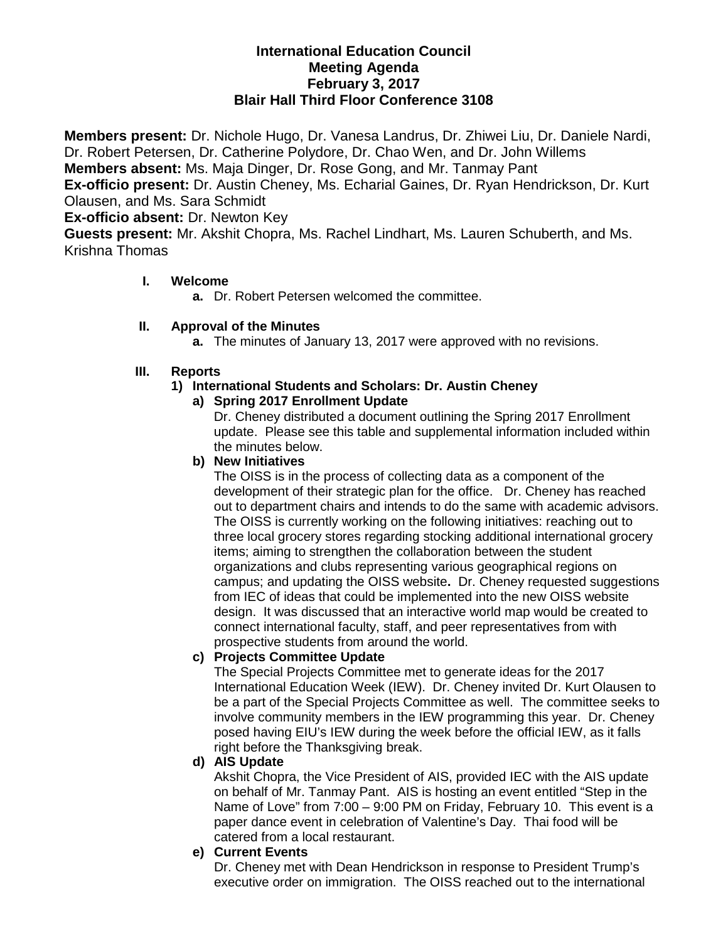## **International Education Council Meeting Agenda February 3, 2017 Blair Hall Third Floor Conference 3108**

**Members present:** Dr. Nichole Hugo, Dr. Vanesa Landrus, Dr. Zhiwei Liu, Dr. Daniele Nardi, Dr. Robert Petersen, Dr. Catherine Polydore, Dr. Chao Wen, and Dr. John Willems **Members absent:** Ms. Maja Dinger, Dr. Rose Gong, and Mr. Tanmay Pant **Ex-officio present:** Dr. Austin Cheney, Ms. Echarial Gaines, Dr. Ryan Hendrickson, Dr. Kurt Olausen, and Ms. Sara Schmidt **Ex-officio absent:** Dr. Newton Key **Guests present:** Mr. Akshit Chopra, Ms. Rachel Lindhart, Ms. Lauren Schuberth, and Ms. Krishna Thomas

## **I. Welcome**

**a.** Dr. Robert Petersen welcomed the committee.

## **II. Approval of the Minutes**

**a.** The minutes of January 13, 2017 were approved with no revisions.

# **III. Reports**

## **1) International Students and Scholars: Dr. Austin Cheney**

#### **a) Spring 2017 Enrollment Update**

Dr. Cheney distributed a document outlining the Spring 2017 Enrollment update. Please see this table and supplemental information included within the minutes below.

#### **b) New Initiatives**

The OISS is in the process of collecting data as a component of the development of their strategic plan for the office. Dr. Cheney has reached out to department chairs and intends to do the same with academic advisors. The OISS is currently working on the following initiatives: reaching out to three local grocery stores regarding stocking additional international grocery items; aiming to strengthen the collaboration between the student organizations and clubs representing various geographical regions on campus; and updating the OISS website**.** Dr. Cheney requested suggestions from IEC of ideas that could be implemented into the new OISS website design. It was discussed that an interactive world map would be created to connect international faculty, staff, and peer representatives from with prospective students from around the world.

#### **c) Projects Committee Update**

The Special Projects Committee met to generate ideas for the 2017 International Education Week (IEW). Dr. Cheney invited Dr. Kurt Olausen to be a part of the Special Projects Committee as well. The committee seeks to involve community members in the IEW programming this year. Dr. Cheney posed having EIU's IEW during the week before the official IEW, as it falls right before the Thanksgiving break.

# **d) AIS Update**

Akshit Chopra, the Vice President of AIS, provided IEC with the AIS update on behalf of Mr. Tanmay Pant. AIS is hosting an event entitled "Step in the Name of Love" from 7:00 – 9:00 PM on Friday, February 10. This event is a paper dance event in celebration of Valentine's Day. Thai food will be catered from a local restaurant.

# **e) Current Events**

Dr. Cheney met with Dean Hendrickson in response to President Trump's executive order on immigration. The OISS reached out to the international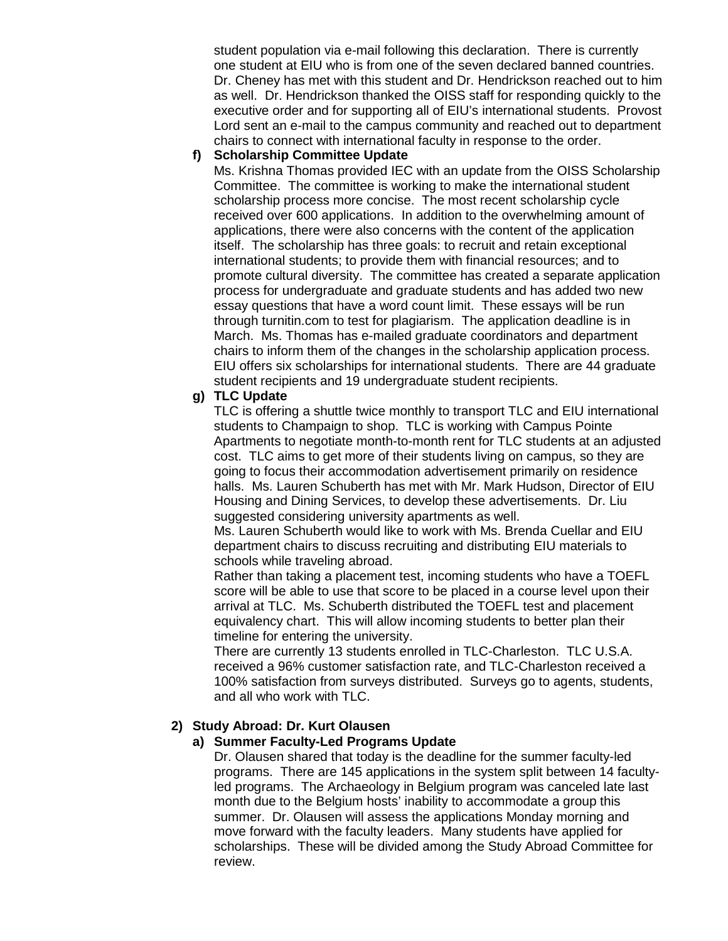student population via e-mail following this declaration. There is currently one student at EIU who is from one of the seven declared banned countries. Dr. Cheney has met with this student and Dr. Hendrickson reached out to him as well. Dr. Hendrickson thanked the OISS staff for responding quickly to the executive order and for supporting all of EIU's international students. Provost Lord sent an e-mail to the campus community and reached out to department chairs to connect with international faculty in response to the order.

#### **f) Scholarship Committee Update**

Ms. Krishna Thomas provided IEC with an update from the OISS Scholarship Committee. The committee is working to make the international student scholarship process more concise. The most recent scholarship cycle received over 600 applications. In addition to the overwhelming amount of applications, there were also concerns with the content of the application itself. The scholarship has three goals: to recruit and retain exceptional international students; to provide them with financial resources; and to promote cultural diversity. The committee has created a separate application process for undergraduate and graduate students and has added two new essay questions that have a word count limit. These essays will be run through turnitin.com to test for plagiarism. The application deadline is in March. Ms. Thomas has e-mailed graduate coordinators and department chairs to inform them of the changes in the scholarship application process. EIU offers six scholarships for international students. There are 44 graduate student recipients and 19 undergraduate student recipients.

# **g) TLC Update**

TLC is offering a shuttle twice monthly to transport TLC and EIU international students to Champaign to shop. TLC is working with Campus Pointe Apartments to negotiate month-to-month rent for TLC students at an adjusted cost. TLC aims to get more of their students living on campus, so they are going to focus their accommodation advertisement primarily on residence halls. Ms. Lauren Schuberth has met with Mr. Mark Hudson, Director of EIU Housing and Dining Services, to develop these advertisements. Dr. Liu suggested considering university apartments as well.

Ms. Lauren Schuberth would like to work with Ms. Brenda Cuellar and EIU department chairs to discuss recruiting and distributing EIU materials to schools while traveling abroad.

Rather than taking a placement test, incoming students who have a TOEFL score will be able to use that score to be placed in a course level upon their arrival at TLC. Ms. Schuberth distributed the TOEFL test and placement equivalency chart. This will allow incoming students to better plan their timeline for entering the university.

There are currently 13 students enrolled in TLC-Charleston. TLC U.S.A. received a 96% customer satisfaction rate, and TLC-Charleston received a 100% satisfaction from surveys distributed. Surveys go to agents, students, and all who work with TLC.

# **2) Study Abroad: Dr. Kurt Olausen**

# **a) Summer Faculty-Led Programs Update**

Dr. Olausen shared that today is the deadline for the summer faculty-led programs. There are 145 applications in the system split between 14 facultyled programs. The Archaeology in Belgium program was canceled late last month due to the Belgium hosts' inability to accommodate a group this summer. Dr. Olausen will assess the applications Monday morning and move forward with the faculty leaders. Many students have applied for scholarships. These will be divided among the Study Abroad Committee for review.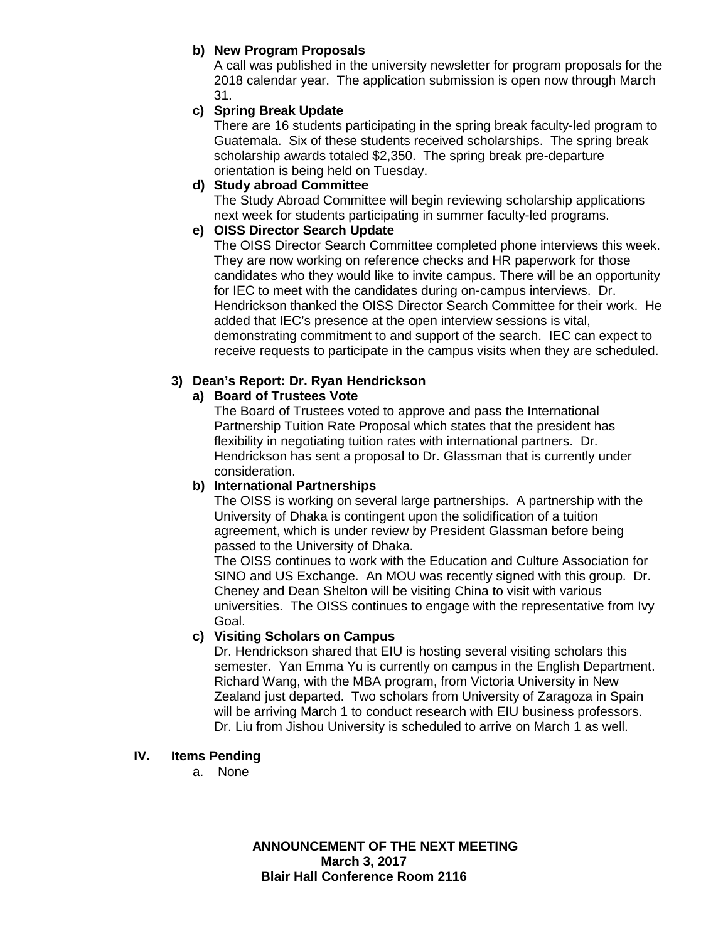## **b) New Program Proposals**

A call was published in the university newsletter for program proposals for the 2018 calendar year.The application submission is open now through March 31.

# **c) Spring Break Update**

There are 16 students participating in the spring break faculty-led program to Guatemala. Six of these students received scholarships. The spring break scholarship awards totaled \$2,350. The spring break pre-departure orientation is being held on Tuesday.

### **d) Study abroad Committee**

The Study Abroad Committee will begin reviewing scholarship applications next week for students participating in summer faculty-led programs.

## **e) OISS Director Search Update**

The OISS Director Search Committee completed phone interviews this week. They are now working on reference checks and HR paperwork for those candidates who they would like to invite campus. There will be an opportunity for IEC to meet with the candidates during on-campus interviews. Dr. Hendrickson thanked the OISS Director Search Committee for their work. He added that IEC's presence at the open interview sessions is vital, demonstrating commitment to and support of the search. IEC can expect to receive requests to participate in the campus visits when they are scheduled.

## **3) Dean's Report: Dr. Ryan Hendrickson**

## **a) Board of Trustees Vote**

The Board of Trustees voted to approve and pass the International Partnership Tuition Rate Proposal which states that the president has flexibility in negotiating tuition rates with international partners.Dr. Hendrickson has sent a proposal to Dr. Glassman that is currently under consideration.

#### **b) International Partnerships**

The OISS is working on several large partnerships. A partnership with the University of Dhaka is contingent upon the solidification of a tuition agreement, which is under review by President Glassman before being passed to the University of Dhaka.

The OISS continues to work with the Education and Culture Association for SINO and US Exchange. An MOU was recently signed with this group. Dr. Cheney and Dean Shelton will be visiting China to visit with various universities. The OISS continues to engage with the representative from Ivy Goal.

## **c) Visiting Scholars on Campus**

Dr. Hendrickson shared that EIU is hosting several visiting scholars this semester. Yan Emma Yu is currently on campus in the English Department. Richard Wang, with the MBA program, from Victoria University in New Zealand just departed. Two scholars from University of Zaragoza in Spain will be arriving March 1 to conduct research with EIU business professors. Dr. Liu from Jishou University is scheduled to arrive on March 1 as well.

#### **IV. Items Pending**

a. None

**ANNOUNCEMENT OF THE NEXT MEETING March 3, 2017 Blair Hall Conference Room 2116**